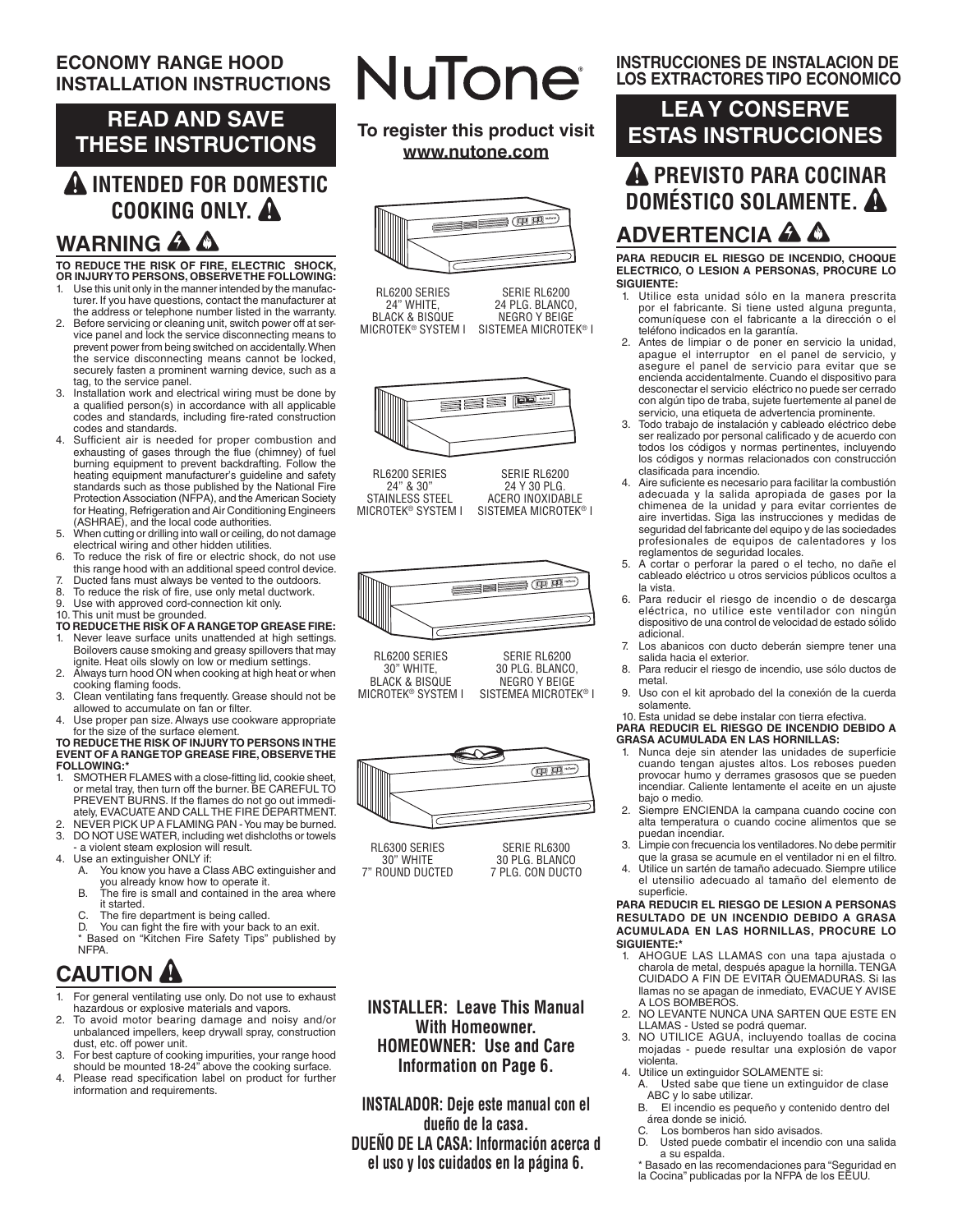### **ECONOMY RANGE HOOD INSTALLATION INSTRUCTIONS**

## **READ AND SAVE THESE INSTRUCTIONS**

# **INTENDED FOR DOMESTIC COOKING ONLY.**

# **WARNING A A**

#### **TO REDUCE THE RISK OF FIRE, ELECTRIC SHOCK, OR INJURY TO PERSONS, OBSERVE THE FOLLOWING:**

- 1. Use this unit only in the manner intended by the manufacturer. If you have questions, contact the manufacturer at the address or telephone number listed in the warranty.
- 2. Before servicing or cleaning unit, switch power off at service panel and lock the service disconnecting means to prevent power from being switched on accidentally. When the service disconnecting means cannot be locked, securely fasten a prominent warning device, such as a tag, to the service panel.
- 3. Installation work and electrical wiring must be done by a qualified person(s) in accordance with all applicable codes and standards, including fire-rated construction codes and standards.
- 4. Sufficient air is needed for proper combustion and exhausting of gases through the flue (chimney) of fuel burning equipment to prevent backdrafting. Follow the heating equipment manufacturer's guideline and safety standards such as those published by the National Fire Protection Association (NFPA), and the American Society for Heating, Refrigeration and Air Conditioning Engineers (ASHRAE), and the local code authorities.
- 5. When cutting or drilling into wall or ceiling, do not damage electrical wiring and other hidden utilities.
- 6. To reduce the risk of fire or electric shock, do not use
- this range hood with an additional speed control device. 7. Ducted fans must always be vented to the outdoors.
- 8. To reduce the risk of fire, use only metal ductwork.<br>9. Use with approved cord-connection kit only.
- Use with approved cord-connection kit only.
- 
- 10. This unit must be grounded.<br>**TO REDUCETHE RISK OF A RANGETOP GREASE FIRE:**<br>1. Never leave surface units unattended at high settings. Boilovers cause smoking and greasy spillovers that may ignite. Heat oils slowly on low or medium settings.
- 2. Always turn hood ON when cooking at high heat or when cooking flaming foods.
- 3. Clean ventilating fans frequently. Grease should not be allowed to accumulate on fan or filter.
- 4. Use proper pan size. Always use cookware appropriate for the size of the surface element.

#### **TO REDUCE THE RISK OF INJURY TO PERSONS IN THE EVENT OF A RANGE TOP GREASE FIRE, OBSERVE THE FOLLOWING:**

- 1. SMOTHER FLAMES with a close-fitting lid, cookie sheet, or metal tray, then turn off the burner. BE CAREFUL TO PREVENT BURNS. If the flames do not go out immediately, EVACUATE AND CALL THE FIRE DEPARTMENT.
- 2. NEVER PICK UP A FLAMING PAN You may be burned.<br>3. DO NOT USE WATER, including wet dishcloths or towels DO NOT USE WATER, including wet dishcloths or towels
- a violent steam explosion will result.
- 4. Use an extinguisher ONLY if:<br>A You know you have a Cl A. You know you have a Class ABC extinguisher and
	- you already know how to operate it. B. The fire is small and contained in the area where it started.
	- C. The fire department is being called.<br>D. You can fight the fire with your back
	- You can fight the fire with your back to an exit.
	- Based on "Kitchen Fire Safety Tips" published by **NFPA**

# **CAUTION**

- For general ventilating use only. Do not use to exhaust hazardous or explosive materials and vapors.
- 2. To avoid motor bearing damage and noisy and/or unbalanced impellers, keep drywall spray, construction dust, etc. off power unit.
- 3. For best capture of cooking impurities, your range hood should be mounted 18-24" above the cooking surface.
- 4. Please read specification label on product for further information and requirements.

# **NuTone**

**To register this product visit www.nutone.com**



RL6200 SERIES 24" WHITE, **BLACK & BISQUE** MICROTEK® SYSTEM I SERIE RL6200 24 PLG. BLANCO, NEGRO Y BEIGE SISTEMEA MICROTEK® I



RL6200 SERIES 24" & 30" STAINLESS STEEL MICROTEK® SYSTEM I SERIE RL6200 24 Y 30 PLG. ACERO INOXIDABLE SISTEMEA MICROTEK® I



RL6200 SERIES 30" WHITE, BLACK & BISQUE MICROTEK® SYSTEM I SERIE RL6200 30 PLG. BLANCO, NEGRO Y BEIGE SISTEMEA MICROTEK® I



RL6300 SERIES 30" WHITE 7" ROUND DUCTED

SERIE RL6300 30 PLG. BLANCO 7 PLG. CON DUCTO

**INSTALLER: Leave This Manual With Homeowner. HOMEOWNER: Use and Care Information on Page 6.**

**INSTALADOR: Deje este manual con el dueño de la casa. DUEÑO DE LA CASA: Información acerca d el uso y los cuidados en la página 6.**

### **INSTRUCCIONES DE INSTALACION DE LOS EXTRACTORES TIPO ECONOMICO**

# **PREVISTO PARA COCINAR DOMÉSTICO SOLAMENTE. ADVERTENCIA LEA Y CONSERVE ESTAS INSTRUCCIONES**

**PARA REDUCIR EL RIESGO DE INCENDIO, CHOQUE ELECTRICO, O LESION A PERSONAS, PROCURE LO SIGUIENTE:**

- 1. Utilice esta unidad sólo en la manera prescrita por el fabricante. Si tiene usted alguna pregunta, comuníquese con el fabricante a la dirección o el teléfono indicados en la garantía.
- 2. Antes de limpiar o de poner en servicio la unidad, apague el interruptor en el panel de servicio, y asegure el panel de servicio para evitar que se encienda accidentalmente. Cuando el dispositivo para desconectar el servicio eléctrico no puede ser cerrado con algún tipo de traba, sujete fuertemente al panel de servicio, una etiqueta de advertencia prominente.
- 3. Todo trabajo de instalación y cableado eléctrico debe ser realizado por personal calificado y de acuerdo con todos los códigos y normas pertinentes, incluyendo los códigos y normas relacionados con construcción clasificada para incendio.
- 4. Aire suficiente es necesario para facilitar la combustión adecuada y la salida apropiada de gases por la chimenea de la unidad y para evitar corrientes de aire invertidas. Siga las instrucciones y medidas de seguridad del fabricante del equipo y de las sociedades profesionales de equipos de calentadores y los reglamentos de seguridad locales.
- 5. A cortar o perforar la pared o el techo, no dañe el cableado eléctrico u otros servicios públicos ocultos a la vista.
- 6. Para reducir el riesgo de incendio o de descarga eléctrica, no utilice este ventilador con ningún dispositivo de una control de velocidad de estado sólido adicional.
- 7. Los abanicos con ducto deberán siempre tener una salida hacia el exterior.
- 8. Para reducir el riesgo de incendio, use sólo ductos de metal.
- 9. Uso con el kit aprobado del la conexión de la cuerda solamente.

#### 10. Esta unidad se debe instalar con tierra efectiva. **PARA REDUCIR EL RIESGO DE INCENDIO DEBIDO A GRASA ACUMULADA EN LAS HORNILLAS:**

- 1. Nunca deje sin atender las unidades de superficie cuando tengan ajustes altos. Los reboses pueden provocar humo y derrames grasosos que se pueden incendiar. Caliente lentamente el aceite en un ajuste bajo o medio.
- 2. Siempre ENCIENDA la campana cuando cocine con alta temperatura o cuando cocine alimentos que se puedan incendiar.
- Limpie con frecuencia los ventiladores. No debe permitir que la grasa se acumule en el ventilador ni en el filtro.
- 4. Utilice un sartén de tamaño adecuado. Siempre utilice el utensilio adecuado al tamaño del elemento de superficie.

#### **PARA REDUCIR EL RIESGO DE LESION A PERSONAS RESULTADO DE UN INCENDIO DEBIDO A GRASA ACUMULADA EN LAS HORNILLAS, PROCURE LO SIGUIENTE:\***

- 1. AHOGUE LAS LLAMAS con una tapa ajustada o charola de metal, después apague la hornilla. TENGA CUIDADO A FIN DE EVITAR QUEMADURAS. Si las llamas no se apagan de inmediato, EVACUE Y AVISE A LOS BOMBEROS.
- 2. NO LEVANTE NUNCA UNA SARTEN QUE ESTE EN LLAMAS - Usted se podrá quemar.
- 3. NO UTILICE AGUA, incluyendo toallas de cocina mojadas - puede resultar una explosión de vapor violenta.
- 4. Utilice un extinguidor SOLAMENTE si:
	- A. Usted sabe que tiene un extinguidor de clase ABC y lo sabe utilizar.<br>B. El incendio es pequ
	- B. El incendio es pequeño y contenido dentro del área donde se inició.
	- C. Los bomberos han sido avisados.<br>D. Usted puede combatir el incendio
	- Usted puede combatir el incendio con una salida

a su espalda. \* Basado en las recomendaciones para "Seguridad en la Cocina" publicadas por la NFPA de los EEUU.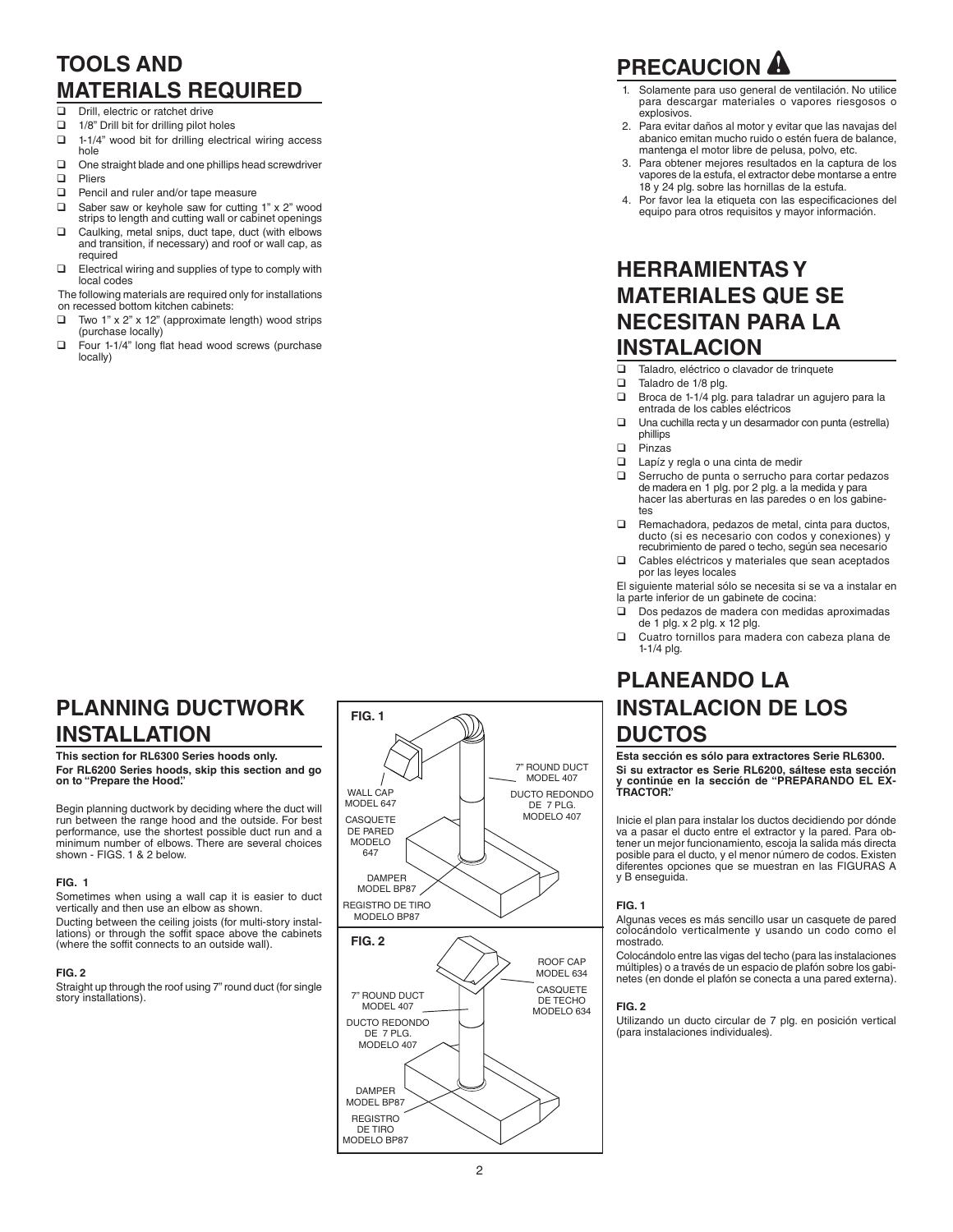### **TOOLS AND MATERIALS REQUIRED**

- $\Box$  Drill, electric or ratchet drive<br> $\Box$  1/8" Drill bit for drilling pilot h
- 
- $\Box$  1/8" Drill bit for drilling pilot holes<br> $\Box$  1-1/4" wood bit for drilling electri 1-1/4" wood bit for drilling electrical wiring access hole
- $\Box$  One straight blade and one phillips head screwdriver
- **Q** Pliers
- $\Box$  Pencil and ruler and/or tape measure
- $\Box$  Saber saw or keyhole saw for cutting 1" x 2" wood
- strips to length and cutting wall or cabinet openings  $\Box$  Caulking, metal snips, duct tape, duct (with elbows and transition, if necessary) and roof or wall cap, as required
- $\square$  Electrical wiring and supplies of type to comply with local codes
- The following materials are required only for installations on recessed bottom kitchen cabinets:
- $\Box$  Two 1" x 2" x 12" (approximate length) wood strips (purchase locally)
- $\Box$  Four 1-1/4" long flat head wood screws (purchase locally)

# **PRECAUCION**

- Solamente para uso general de ventilación. No utilice para descargar materiales o vapores riesgosos o explosivos.
- 2. Para evitar daños al motor y evitar que las navajas del abanico emitan mucho ruido o estén fuera de balance, mantenga el motor libre de pelusa, polvo, etc.
- 3. Para obtener mejores resultados en la captura de los vapores de la estufa, el extractor debe montarse a entre 18 y 24 plg. sobre las hornillas de la estufa.
- 4. Por favor lea la etiqueta con las especificaciones del equipo para otros requisitos y mayor información.

### **HERRAMIENTAS Y MATERIALES QUE SE NECESITAN PARA LA INSTALACION**

- $\Box$  Taladro, eléctrico o clavador de trinquete
- Taladro de 1/8 plg.
- □ Broca de 1-1/4 plg. para taladrar un agujero para la entrada de los cables eléctricos
- $\Box$  Una cuchilla recta y un desarmador con punta (estrella) phillips
- q Pinzas
- **Q** Lapíz y regla o una cinta de medir
- $\Box$  Serrucho de punta o serrucho para cortar pedazos de madera en 1 plg. por 2 plg. a la medida y para hacer las aberturas en las paredes o en los gabinetes
- $\Box$  Remachadora, pedazos de metal, cinta para ductos, ducto (si es necesario con codos y conexiones) y recubrimiento de pared o techo, según sea necesario
- $\Box$  Cables eléctricos y materiales que sean aceptados por las leyes locales

El siguiente material sólo se necesita si se va a instalar en la parte inferior de un gabinete de cocina:

- $\Box$  Dos pedazos de madera con medidas aproximadas de 1 plg. x 2 plg. x 12 plg.
- Cuatro tornillos para madera con cabeza plana de 1-1/4 plg.

# **PLANEANDO LA INSTALACION DE LOS DUCTOS**

**Esta sección es sólo para extractores Serie RL6300. Si su extractor es Serie RL6200, sáltese esta sección y continúe en la sección de "PREPARANDO EL EX-TRACTOR".**

Inicie el plan para instalar los ductos decidiendo por dónde va a pasar el ducto entre el extractor y la pared. Para ob-tener un mejor funcionamiento, escoja la salida más directa posible para el ducto, y el menor número de codos. Existen diferentes opciones que se muestran en las FIGURAS A y B enseguida.

#### **FIG. 1**

Algunas veces es más sencillo usar un casquete de pared colocándolo verticalmente y usando un codo como el mostrado.

Colocándolo entre las vigas del techo (para las instalaciones múltiples) o a través de un espacio de plafón sobre los gabi-netes (en donde el plafón se conecta a una pared externa).

#### **FIG. 2**

Utilizando un ducto circular de 7 plg. en posición vertical (para instalaciones individuales).

### **PLANNING DUCTWORK INSTALLATION**

**This section for RL6300 Series hoods only. For RL6200 Series hoods, skip this section and go on to "Prepare the Hood".**

Begin planning ductwork by deciding where the duct will run between the range hood and the outside. For best performance, use the shortest possible duct run and a minimum number of elbows. There are several choices shown - FIGS. 1 & 2 below.

#### **FIG. 1**

Sometimes when using a wall cap it is easier to duct vertically and then use an elbow as shown.

Ducting between the ceiling joists (for multi-story instal-lations) or through the soffit space above the cabinets (where the soffit connects to an outside wall).

#### **FIG. 2**

Straight up through the roof using 7" round duct (for single story installations).

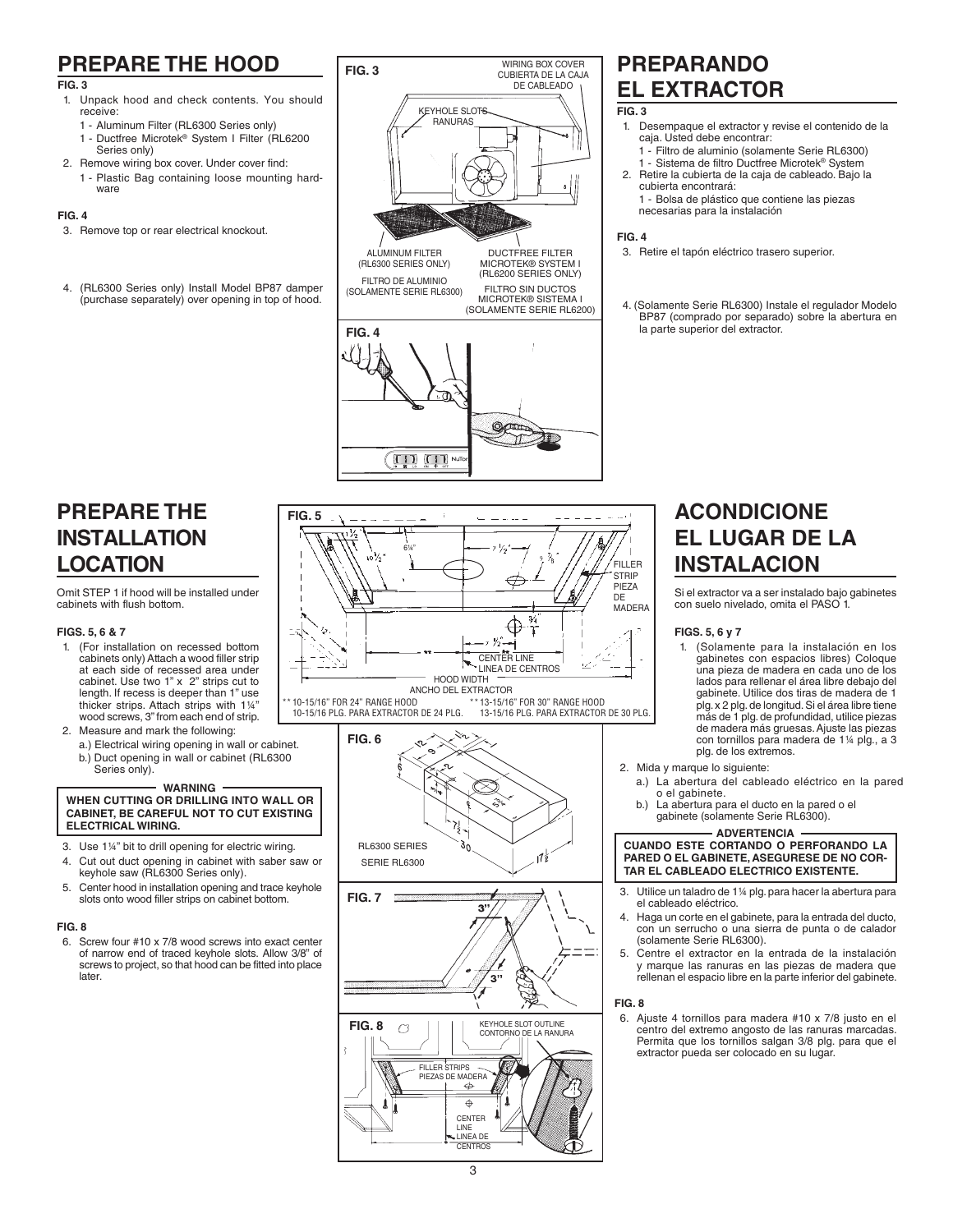# **PREPARE THE HOOD**

#### **FIG. 3**

- 1. Unpack hood and check contents. You should receive:
	- 1 Aluminum Filter (RL6300 Series only)
	- 1 Ductfree Microtek® System I Filter (RL6200
	- Series only)
- 2. Remove wiring box cover. Under cover find:
	- 1 Plastic Bag containing loose mounting hard ware

#### **FIG. 4**

- 3. Remove top or rear electrical knockout.
- 4. (RL6300 Series only) Install Model BP87 damper (purchase separately) over opening in top of hood.



# **PREPARANDO EL EXTRACTOR**

#### **FIG. 3**

- 1. Desempaque el extractor y revise el contenido de la caja. Usted debe encontrar:
- 1 Filtro de aluminio (solamente Serie RL6300) 1 - Sistema de filtro Ductfree Microtek® System
- 2. Retire la cubierta de la caja de cableado. Bajo la cubierta encontrará:
	- 1 Bolsa de plástico que contiene las piezas necesarias para la instalación

#### **FIG. 4**

- 3. Retire el tapón eléctrico trasero superior.
- 4. (Solamente Serie RL6300) Instale el regulador Modelo BP87 (comprado por separado) sobre la abertura en la parte superior del extractor.

### **PREPARE THE INSTALLATION LOCATION**

Omit STEP 1 if hood will be installed under cabinets with flush bottom.

#### **FIGS. 5, 6 & 7**

- 1. (For installation on recessed bottom cabinets only) Attach a wood filler strip at each side of recessed area under cabinet. Use two 1" x 2" strips cut to length. If recess is deeper than 1" use thicker strips. Attach strips with 1¼" wood screws, 3" from each end of strip.
- 2. Measure and mark the following:
	- a.) Electrical wiring opening in wall or cabinet. b.) Duct opening in wall or cabinet (RL6300
		- Series only).

#### **WARNING WHEN CUTTING OR DRILLING INTO WALL OR CABINET, BE CAREFUL NOT TO CUT EXISTING ELECTRICAL WIRING.**

- 3. Use 1¼" bit to drill opening for electric wiring.
- 4. Cut out duct opening in cabinet with saber saw or keyhole saw (RL6300 Series only).
- 5. Center hood in installation opening and trace keyhole slots onto wood filler strips on cabinet bottom.

#### **FIG. 8**

6. Screw four #10 x 7/8 wood screws into exact center of narrow end of traced keyhole slots. Allow 3/8" of screws to project, so that hood can be fitted into place later.



10-15/16 PLG. PARA EXTRACTOR DE 24 PLG.



### **ACONDICIONE EL LUGAR DE LA INSTALACION**

Si el extractor va a ser instalado bajo gabinetes con suelo nivelado, omita el PASO 1.

#### **FIGS. 5, 6 y 7**

1. (Solamente para la instalación en los gabinetes con espacios libres) Coloque una pieza de madera en cada uno de los lados para rellenar el área libre debajo del gabinete. Utilice dos tiras de madera de 1 plg. x 2 plg. de longitud. Si el área libre tiene más de 1 plg. de profundidad, utilice piezas de madera más gruesas. Ajuste las piezas con tornillos para madera de 1¼ plg., a 3 plg. de los extremos.

2. Mida y marque lo siguiente:

- a.) La abertura del cableado eléctrico en la pared o el gabinete.
- b.) La abertura para el ducto en la pared o el gabinete (solamente Serie RL6300).

#### **ADVERTENCIA CUANDO ESTE CORTANDO O PERFORANDO LA PARED O EL GABINETE, ASEGURESE DE NO COR-TAR EL CABLEADO ELECTRICO EXISTENTE.**

- 3. Utilice un taladro de 1¼ plg. para hacer la abertura para el cableado eléctrico.
- 4. Haga un corte en el gabinete, para la entrada del ducto, con un serrucho o una sierra de punta o de calador (solamente Serie RL6300).
- 5. Centre el extractor en la entrada de la instalación y marque las ranuras en las piezas de madera que rellenan el espacio libre en la parte inferior del gabinete.

**FIG. 8**

6. Ajuste 4 tornillos para madera #10 x 7/8 justo en el centro del extremo angosto de las ranuras marcadas. Permita que los tornillos salgan 3/8 plg. para que el extractor pueda ser colocado en su lugar.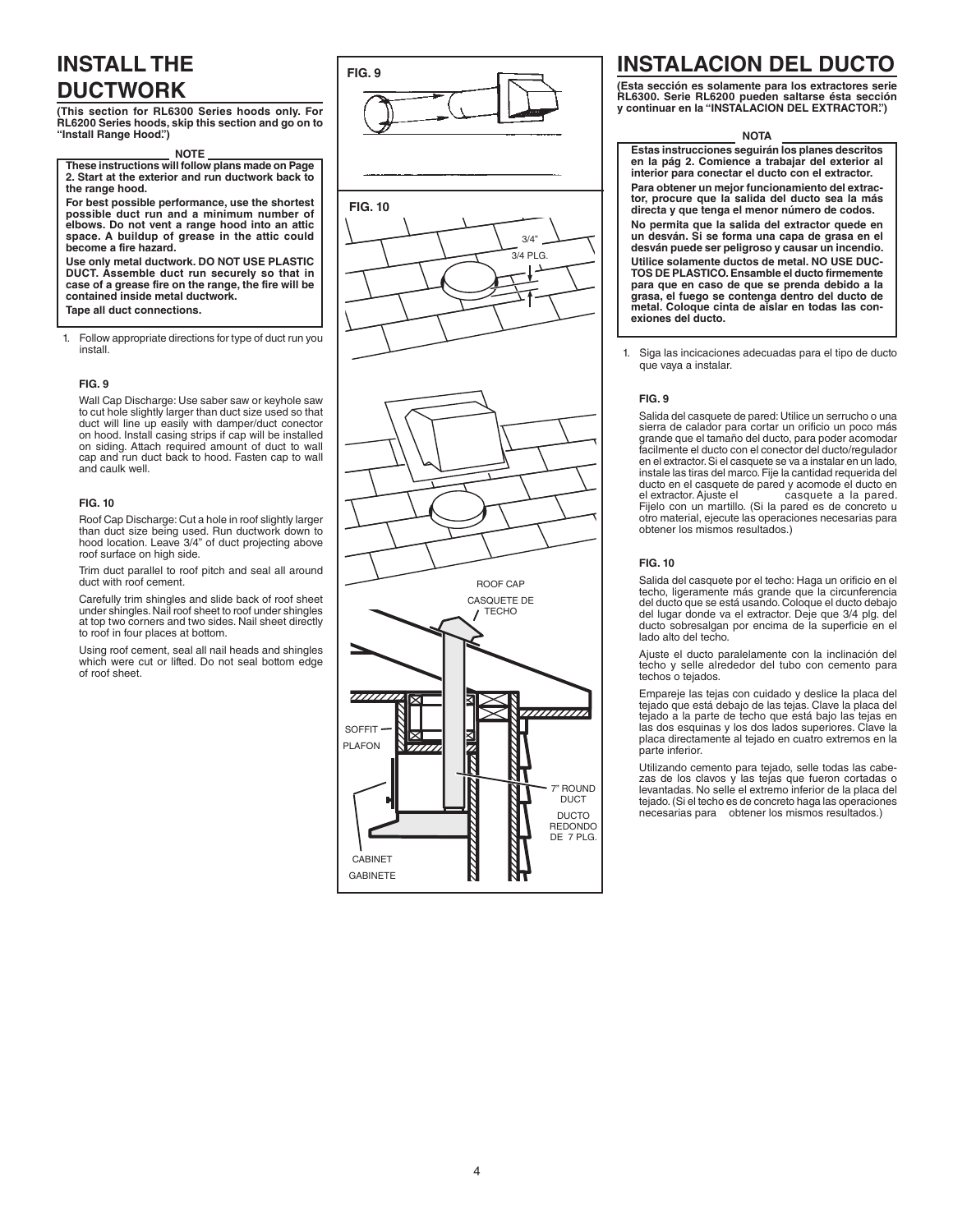# **INSTALL THE DUCTWORK**

**(This section for RL6300 Series hoods only. For RL6200 Series hoods, skip this section and go on to "Install Range Hood". )**

**NOTE These instructions will follow plans made on Page 2. Start at the exterior and run ductwork back to the range hood.**

**For best possible performance, use the shortest possible duct run and a minimum number of elbows. Do not vent a range hood into an attic space. A buildup of grease in the attic could become a fire hazard.** 

**Use only metal ductwork. DO NOT USE PLASTIC DUCT. Assemble duct run securely so that in case of a grease fire on the range, the fire will be contained inside metal ductwork. Tape all duct connections.**

1. Follow appropriate directions for type of duct run you install.

#### **FIG. 9**

Wall Cap Discharge: Use saber saw or keyhole saw to cut hole slightly larger than duct size used so that duct will line up easily with damper/duct conector on hood. Install casing strips if cap will be installed on siding. Attach required amount of duct to wall cap and run duct back to hood. Fasten cap to wall and caulk well.

#### **FIG. 10**

Roof Cap Discharge: Cut a hole in roof slightly larger than duct size being used. Run ductwork down to hood location. Leave 3/4" of duct projecting above roof surface on high side.

Trim duct parallel to roof pitch and seal all around duct with roof cement.

Carefully trim shingles and slide back of roof sheet under shingles. Nail roof sheet to roof under shingles at top two corners and two sides. Nail sheet directly to roof in four places at bottom.

Using roof cement, seal all nail heads and shingles which were cut or lifted. Do not seal bottom edge of roof sheet.

> SOFFIT PLAFON

⋉

CABINET GABINETE



ROOF CAP CASQUETE DE **TECHO** 

### **INSTALACION DEL DUCTO**

**(Esta sección es solamente para los extractores serie RL6300. Serie RL6200 pueden saltarse ésta sección y continuar en la "INSTALACION DEL EXTRACTOR". )**

#### **NOTA**

**Estas instrucciones seguirán los planes descritos en la pág 2. Comience a trabajar del exterior al interior para conectar el ducto con el extractor. Para obtener un mejor funcionamiento del extractor, procure que la salida del ducto sea la más directa y que tenga el menor número de codos. No permita que la salida del extractor quede en un desván. Si se forma una capa de grasa en el desván puede ser peligroso y causar un incendio. Utilice solamente ductos de metal. NO USE DUC-TOS DE PLASTICO. Ensamble el ducto firmemente para que en caso de que se prenda debido a la grasa, el fuego se contenga dentro del ducto de metal. Coloque cinta de aislar en todas las conexiones del ducto.**

1. Siga las incicaciones adecuadas para el tipo de ducto que vaya a instalar.

#### **FIG. 9**

Salida del casquete de pared: Utilice un serrucho o una sierra de calador para cortar un orificio un poco más grande que el tamaño del ducto, para poder acomodar facilmente el ducto con el conector del ducto/regulador en el extractor. Si el casquete se va a instalar en un lado, instale las tiras del marco. Fije la cantidad requerida del ducto en el casquete de pared y acomode el ducto en el extractor. Ajuste el casquete a la pared. el extractor. Ajuste el casquete a la pared. Fijelo con un martillo. (Si la pared es de concreto u otro material, ejecute las operaciones necesarias para obtener los mismos resultados.)

#### **FIG. 10**

ROUND DUCT **DUCTO** REDONDO DE 7 PLG.

Salida del casquete por el techo: Haga un orificio en el techo, ligeramente más grande que la circunferencia del ducto que se está usando. Coloque el ducto debajo del lugar donde va el extractor. Deje que 3/4 plg. del ducto sobresalgan por encima de la superficie en el lado alto del techo.

Ajuste el ducto paralelamente con la inclinación del techo y selle alrededor del tubo con cemento para techos o tejados.

Empareje las tejas con cuidado y deslice la placa del tejado que está debajo de las tejas. Clave la placa del tejado a la parte de techo que está bajo las tejas en las dos esquinas y los dos lados superiores. Clave la placa directamente al tejado en cuatro extremos en la parte inferior.

Utilizando cemento para tejado, selle todas las cabezas de los clavos y las tejas que fueron cortadas o levantadas. No selle el extremo inferior de la placa del tejado. (Si el techo es de concreto haga las operaciones necesarias para obtener los mismos resultados.)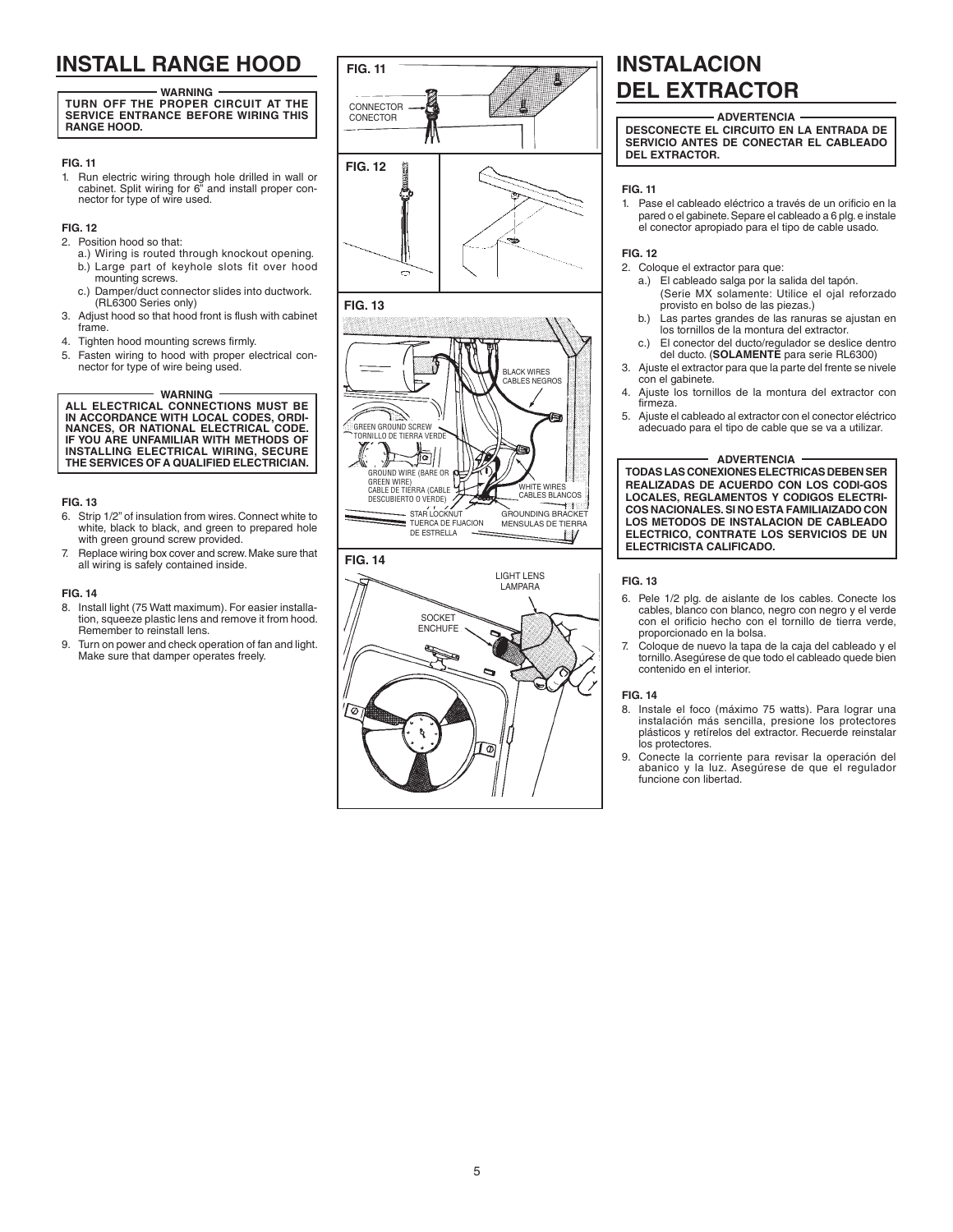# **INSTALL RANGE HOOD FIG. 11**

**WARNING TURN OFF THE PROPER CIRCUIT AT THE SERVICE ENTRANCE BEFORE WIRING THIS RANGE HOOD.**

#### **FIG. 11**

1. Run electric wiring through hole drilled in wall or cabinet. Split wiring for 6" and install proper connector for type of wire used.

#### **FIG. 12**

- 2. Position hood so that:
	- a.) Wiring is routed through knockout opening. b.) Large part of keyhole slots fit over hood mounting screws.
	- c.) Damper/duct connector slides into ductwork. (RL6300 Series only)
- 3. Adjust hood so that hood front is flush with cabinet frame.
- 4. Tighten hood mounting screws firmly.
- 5. Fasten wiring to hood with proper electrical connector for type of wire being used.

**WARNING**

**ALL ELECTRICAL CONNECTIONS MUST BE IN ACCORDANCE WITH LOCAL CODES, ORDI-NANCES, OR NATIONAL ELECTRICAL CODE. IF YOU ARE UNFAMILIAR WITH METHODS OF INSTALLING ELECTRICAL WIRING, SECURE THE SERVICES OF A QUALIFIED ELECTRICIAN.** 

#### **FIG. 13**

- 6. Strip 1/2" of insulation from wires. Connect white to white, black to black, and green to prepared hole with green ground screw provided.
- 7. Replace wiring box cover and screw. Make sure that all wiring is safely contained inside.

#### **FIG. 14**

- 8. Install light (75 Watt maximum). For easier installation, squeeze plastic lens and remove it from hood. Remember to reinstall lens.
- 9. Turn on power and check operation of fan and light. Make sure that damper operates freely.





# **INSTALACION DEL EXTRACTOR**

**ADVERTENCIA DESCONECTE EL CIRCUITO EN LA ENTRADA DE SERVICIO ANTES DE CONECTAR EL CABLEADO DEL EXTRACTOR.**

#### **FIG. 11**

1. Pase el cableado eléctrico a través de un orificio en la pared o el gabinete. Separe el cableado a 6 plg. e instale el conector apropiado para el tipo de cable usado.

#### **FIG. 12**

- 2. Coloque el extractor para que:
	- a.) El cableado salga por la salida del tapón. (Serie MX solamente: Utilice el ojal reforzado provisto en bolso de las piezas.)
	- b.) Las partes grandes de las ranuras se ajustan en los tornillos de la montura del extractor.
	- c.) El conector del ducto/regulador se deslice dentro del ducto. (**SOLAMENTE** para serie RL6300)
- 3. Ajuste el extractor para que la parte del frente se nivele con el gabinete.
- 4. Ajuste los tornillos de la montura del extractor con firmeza.
- 5. Ajuste el cableado al extractor con el conector eléctrico adecuado para el tipo de cable que se va a utilizar.

**ADVERTENCIA TODAS LAS CONEXIONES ELECTRICAS DEBEN SER REALIZADAS DE ACUERDO CON LOS CODI-GOS LOCALES, REGLAMENTOS Y CODIGOS ELECTRI-COS NACIONALES. SI NO ESTA FAMILIAIZADO CON LOS METODOS DE INSTALACION DE CABLEADO ELECTRICO, CONTRATE LOS SERVICIOS DE UN ELECTRICISTA CALIFICADO.**

#### **FIG. 13**

- 6. Pele 1/2 plg. de aislante de los cables. Conecte los cables, blanco con blanco, negro con negro y el verde con el orificio hecho con el tornillo de tierra verde, proporcionado en la bolsa.
- 7. Coloque de nuevo la tapa de la caja del cableado y el tornillo. Asegúrese de que todo el cableado quede bien contenido en el interior.

#### **FIG. 14**

- 8. Instale el foco (máximo 75 watts). Para lograr una instalación más sencilla, presione los protectores plásticos y retírelos del extractor. Recuerde reinstalar los protectores.
- 9. Conecte la corriente para revisar la operación del abanico y la luz. Asegúrese de que el regulador funcione con libertad.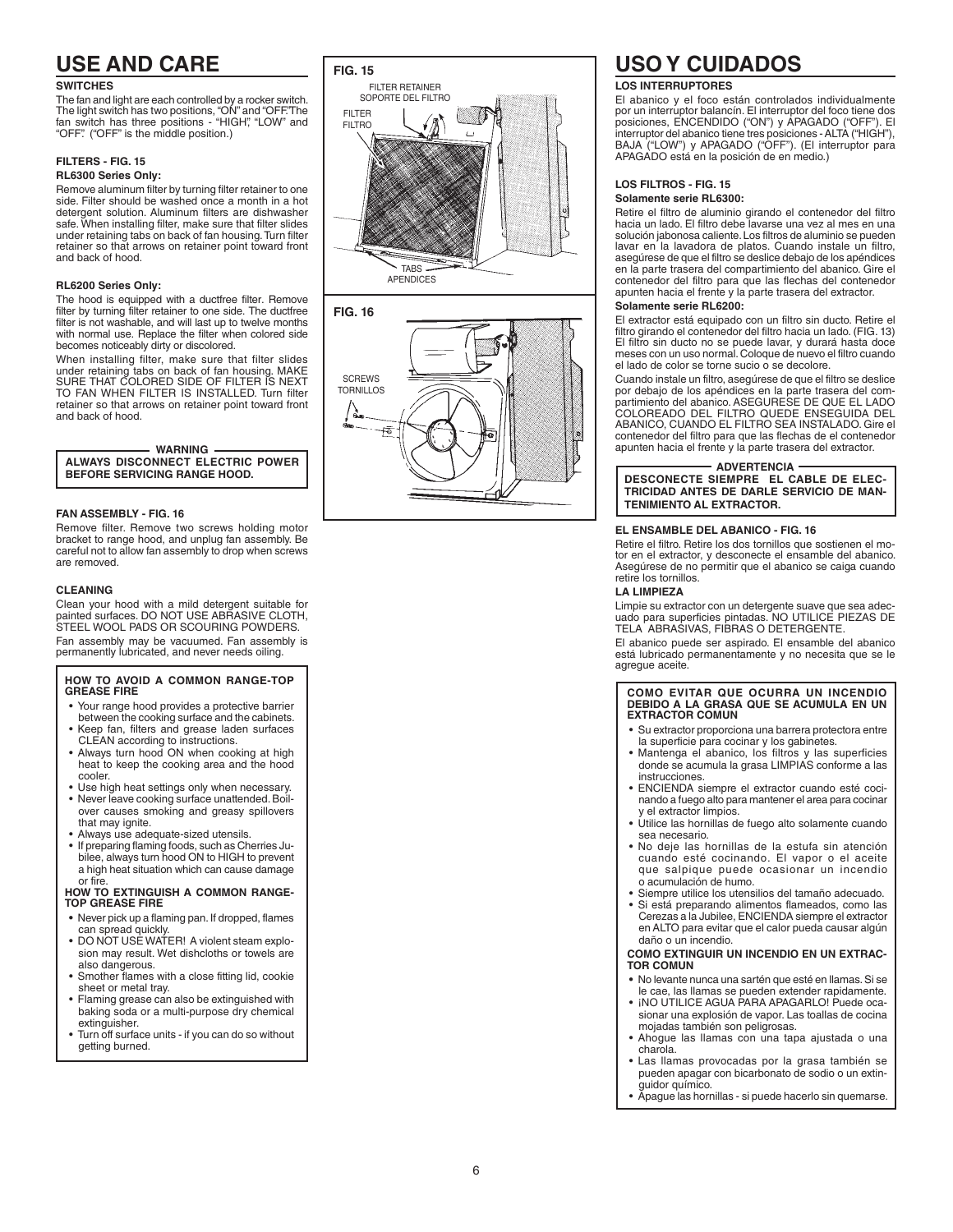## **USE AND CARE**

#### **SWITCHES**

The fan and light are each controlled by a rocker switch. The light switch has two positions, "ON" and "OFF."The<br>fan switch has three positions - "HIGH", "LOW" and "OFF". ( "OFF" is the middle position.)

### **FILTERS - FIG. 15**

#### **RL6300 Series Only:**

Remove aluminum filter by turning filter retainer to one side. Filter should be washed once a month in a hot detergent solution. Aluminum filters are dishwasher safe. When installing filter, make sure that filter slides under retaining tabs on back of fan housing. Turn filter retainer so that arrows on retainer point toward front and back of hood.

#### **RL6200 Series Only:**

The hood is equipped with a ductfree filter. Remove filter by turning filter retainer to one side. The ductfree filter is not washable, and will last up to twelve months with normal use. Replace the filter when colored side becomes noticeably dirty or discolored.

When installing filter, make sure that filter slides under retaining tabs on back of fan housing. MAKE SURE THAT COLORED SIDE OF FILTER IS NEXT TO FAN WHEN FILTER IS INSTALLED. Turn filter retainer so that arrows on retainer point toward front and back of hood.

### **WARNING**

**ALWAYS DISCONNECT ELECTRIC POWER BEFORE SERVICING RANGE HOOD.**

#### **FAN ASSEMBLY - FIG. 16**

Remove filter. Remove two screws holding motor bracket to range hood, and unplug fan assembly. Be careful not to allow fan assembly to drop when screws are removed.

#### **CLEANING**

Clean your hood with a mild detergent suitable for painted surfaces. DO NOT USE ABRASIVE CLOTH, STEEL WOOL PADS OR SCOURING POWDERS. Fan assembly may be vacuumed. Fan assembly is permanently lubricated, and never needs oiling.

### **HOW TO AVOID A COMMON RANGE-TOP GREASE FIRE**

- Your range hood provides a protective barrier
- between the cooking surface and the cabinets. • Keep fan, filters and grease laden surfaces
- CLEAN according to instructions. Always turn hood ON when cooking at high heat to keep the cooking area and the hood cooler.
- Use high heat settings only when necessary.
- Never leave cooking surface unattended. Boilover causes smoking and greasy spillovers that may ignite.
- Always use adequate-sized utensils.
- If preparing flaming foods, such as Cherries Ju bilee, always turn hood ON to HIGH to prevent a high heat situation which can cause damage or fire.

#### **HOW TO EXTINGUISH A COMMON RANGE-TOP GREASE FIRE**

- **•** Never pick up a flaming pan. If dropped, flames
- can spread quickly. DO NOT USE WATER! A violent steam explo sion may result. Wet dishcloths or towels are also dangerous.
- Smother flames with a close fitting lid, cookie sheet or metal tray. • Flaming grease can also be extinguished with
- baking soda or a multi-purpose dry chemical extinguisher.
- Turn off surface units if you can do so without getting burned.

### **FIG. 15**





### **USO Y CUIDADOS**

#### **LOS INTERRUPTORES**

El abanico y el foco están controlados individualmente por un interruptor balancín. El interruptor del foco tiene dos<br>posiciones, ENCENDIDO ("ON") y APAGADO ("OEE"). El .<br>posiciones, ENCENDIDO ("ON") y APAGADO ("OFF" interruptor del abanico tiene tres posiciones - ALTA ("HIGH"), BAJA ("LOW") y APAGADO ("OFF"). (El interruptor para APAGADO está en la posición de en medio.)

#### **LOS FILTROS - FIG. 15**

#### **Solamente serie RL6300:**

Retire el filtro de aluminio girando el contenedor del filtro hacia un lado. El filtro debe lavarse una vez al mes en una solución jabonosa caliente. Los filtros de aluminio se pueden lavar en la lavadora de platos. Cuando instale un filtro, asegúrese de que el filtro se deslice debajo de los apéndices en la parte trasera del compartimiento del abanico. Gire el contenedor del filtro para que las flechas del contenedor apunten hacia el frente y la parte trasera del extractor.

#### **Solamente serie RL6200:**

El extractor está equipado con un filtro sin ducto. Retire el filtro girando el contenedor del filtro hacia un lado. (FIG. 13) El filtro sin ducto no se puede lavar, y durará hasta doce meses con un uso normal. Coloque de nuevo el filtro cuando el lado de color se torne sucio o se decolore.

Cuando instale un filtro, asegúrese de que el filtro se deslice por debajo de los apéndices en la parte trasera del com partimiento del abanico. ASEGURESE DE QUE EL LADO COLOREADO DEL FILTRO QUEDE ENSEGUIDA DEL ABANICO, CUANDO EL FILTRO SEA INSTALADO. Gire el contenedor del filtro para que las flechas de el contenedor apunten hacia el frente y la parte trasera del extractor.

#### **ADVERTENCIA**

**DESCONECTE SIEMPRE EL CABLE DE ELEC-TRICIDAD ANTES DE DARLE SERVICIO DE MAN-TENIMIENTO AL EXTRACTOR.**

#### **EL ENSAMBLE DEL ABANICO - FIG. 16**

Retire el filtro. Retire los dos tornillos que sostienen el mo tor en el extractor, y desconecte el ensamble del abanico. Asegúrese de no permitir que el abanico se caiga cuando retire los tornillos.

#### **LA LIMPIEZA**

Limpie su extractor con un detergente suave que sea adec uado para superficies pintadas. NO UTILICE PIEZAS DE TELA ABRASIVAS, FIBRAS O DETERGENTE.

El abanico puede ser aspirado. El ensamble del abanico está lubricado permanentamente y no necesita que se le agregue aceite.

### **COMO EVITAR QUE OCURRA UN INCENDIO DEBIDO A LA GRASA QUE SE ACUMULA EN UN EXTRACTOR COMUN**

- Su extractor proporciona una barrera protectora entre la superficie para cocinar y los gabinetes.
- Mantenga el abanico, los filtros y las superficies donde se acumula la grasa LIMPIAS conforme a las instrucciones.
- ENCIENDA siempre el extractor cuando esté coci nando a fuego alto para mantener el area para cocinar y el extractor limpios.
- Utilice las hornillas de fuego alto solamente cuando sea necesario.
- No deje las hornillas de la estufa sin atención cuando esté cocinando. El vapor o el aceite que salpique puede ocasionar un incendio o acumulación de humo.
- Siempre utilice los utensilios del tamaño adecuado.
- Si está preparando alimentos flameados, como las Cerezas a la Jubilee, ENCIENDA siempre el extractor en ALTO para evitar que el calor pueda causar algún daño o un incendio.

#### **COMO EXTINGUIR UN INCENDIO EN UN EXTRAC - TOR COMUN**

- **•** No levante nunca una sartén que esté en llamas. Si se le cae, las llamas se pueden extender rapidamente.
- iNO UTILICE AGUA PARA APAGARLO! Puede ocasionar una explosión de vapor. Las toallas de cocina mojadas también son peligrosas.
- Ahogue las llamas con una tapa ajustada o una charola.
- Las llamas provocadas por la grasa también se pueden apagar con bicarbonato de sodio o un extin guidor químico.
- Apague las hornillas si puede hacerlo sin quemarse.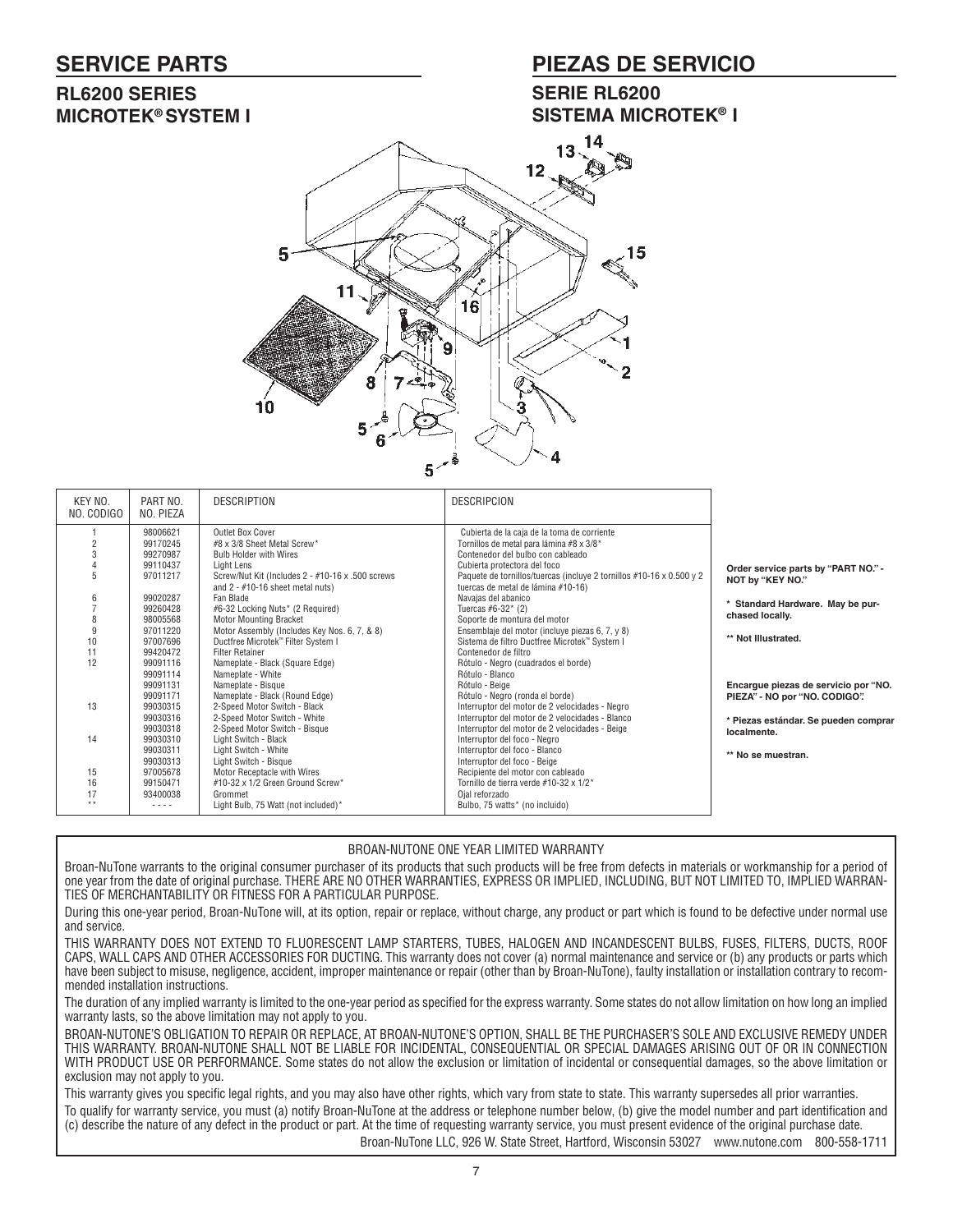### **SERVICE PARTS**

### **PIEZAS DE SERVICIO**

### **RL6200 SERIES MICROTEK® SYSTEM I**

### **SERIE RL6200 SISTEMA MICROTEK® I**



| KEY NO.<br>NO. CODIGO | PART NO.<br>NO. PIEZA            | <b>DESCRIPTION</b>                                                                                   | <b>DESCRIPCION</b>                                                                                                                         |                                                                       |
|-----------------------|----------------------------------|------------------------------------------------------------------------------------------------------|--------------------------------------------------------------------------------------------------------------------------------------------|-----------------------------------------------------------------------|
|                       | 98006621<br>99170245             | Outlet Box Cover<br>#8 x 3/8 Sheet Metal Screw*                                                      | Cubierta de la caja de la toma de corriente<br>Tornillos de metal para lámina #8 x 3/8*                                                    |                                                                       |
|                       | 99270987                         | <b>Bulb Holder with Wires</b>                                                                        | Contenedor del bulbo con cableado                                                                                                          |                                                                       |
| 5                     | 99110437<br>97011217             | Light Lens<br>Screw/Nut Kit (Includes 2 - #10-16 x .500 screws<br>and $2 - #10-16$ sheet metal nuts) | Cubierta protectora del foco<br>Paquete de tornillos/tuercas (incluye 2 tornillos #10-16 x 0.500 y 2<br>tuercas de metal de lámina #10-16) | Order service parts by "PART NO." -<br>NOT by "KEY NO."               |
|                       | 99020287<br>99260428<br>98005568 | Fan Blade<br>#6-32 Locking Nuts* (2 Required)<br><b>Motor Mounting Bracket</b>                       | Navajas del abanico<br>Tuercas #6-32 $*$ (2)<br>Soporte de montura del motor                                                               | Standard Hardware. May be pur-<br>chased locally.                     |
| 10                    | 97011220<br>97007696             | Motor Assembly (Includes Key Nos. 6, 7, & 8)<br>Ductfree Microtek" Filter System I                   | Ensemblaje del motor (incluye piezas 6, 7, y 8)<br>Sistema de filtro Ductfree Microtek™ System I                                           | ** Not Illustrated.                                                   |
| 11<br>12              | 99420472<br>99091116<br>99091114 | <b>Filter Retainer</b><br>Nameplate - Black (Square Edge)<br>Nameplate - White                       | Contenedor de filtro<br>Rótulo - Negro (cuadrados el borde)<br>Rótulo - Blanco                                                             |                                                                       |
| 13                    | 99091131<br>99091171<br>99030315 | Nameplate - Bisque<br>Nameplate - Black (Round Edge)<br>2-Speed Motor Switch - Black                 | Rótulo - Beige<br>Rótulo - Negro (ronda el borde)<br>Interruptor del motor de 2 velocidades - Negro                                        | Encargue piezas de servicio por "NO.<br>PIEZA" - NO por "NO. CODIGO". |
|                       | 99030316<br>99030318             | 2-Speed Motor Switch - White<br>2-Speed Motor Switch - Bisque                                        | Interruptor del motor de 2 velocidades - Blanco<br>Interruptor del motor de 2 velocidades - Beige                                          | * Piezas estándar. Se pueden comprar<br>localmente.                   |
| 14                    | 99030310<br>99030311<br>99030313 | Light Switch - Black<br>Light Switch - White<br>Light Switch - Bisque                                | Interruptor del foco - Negro<br>Interruptor del foco - Blanco<br>Interruptor del foco - Beige                                              | ** No se muestran.                                                    |
| 15                    | 97005678                         | Motor Receptacle with Wires                                                                          | Recipiente del motor con cableado                                                                                                          |                                                                       |
| 16                    | 99150471                         | #10-32 x 1/2 Green Ground Screw*                                                                     | Tornillo de tierra verde #10-32 x 1/2*                                                                                                     |                                                                       |
| 17<br>$* *$           | 93400038<br>----                 | Grommet<br>Light Bulb, 75 Watt (not included)*                                                       | Ojal reforzado<br>Bulbo, 75 watts* (no incluido)                                                                                           |                                                                       |

### BROAN-NUTONE ONE YEAR LIMITED WARRANTY

Broan-NuTone warrants to the original consumer purchaser of its products that such products will be free from defects in materials or workmanship for a period of one year from the date of original purchase. THERE ARE NO OTHER WARRANTIES, EXPRESS OR IMPLIED, INCLUDING, BUT NOT LIMITED TO, IMPLIED WARRAN-TIES OF MERCHANTABILITY OR FITNESS FOR A PARTICULAR PURPOSE.

During this one-year period, Broan-NuTone will, at its option, repair or replace, without charge, any product or part which is found to be defective under normal use and service.

THIS WARRANTY DOES NOT EXTEND TO FLUORESCENT LAMP STARTERS, TUBES, HALOGEN AND INCANDESCENT BULBS, FUSES, FILTERS, DUCTS, ROOF CAPS, WALL CAPS AND OTHER ACCESSORIES FOR DUCTING. This warranty does not cover (a) normal maintenance and service or (b) any products or parts which have been subject to misuse, negligence, accident, improper maintenance or repair (other than by Broan-NuTone), faulty installation or installation contrary to recommended installation instructions.

The duration of any implied warranty is limited to the one-year period as specified for the express warranty. Some states do not allow limitation on how long an implied warranty lasts, so the above limitation may not apply to you.

BROAN-NUTONE'S OBLIGATION TO REPAIR OR REPLACE, AT BROAN-NUTONE'S OPTION, SHALL BE THE PURCHASER'S SOLE AND EXCLUSIVE REMEDY UNDER THIS WARRANTY. BROAN-NUTONE SHALL NOT BE LIABLE FOR INCIDENTAL, CONSEQUENTIAL OR SPECIAL DAMAGES ARISING OUT OF OR IN CONNECTION WITH PRODUCT USE OR PERFORMANCE. Some states do not allow the exclusion or limitation of incidental or consequential damages, so the above limitation or exclusion may not apply to you.

This warranty gives you specific legal rights, and you may also have other rights, which vary from state to state. This warranty supersedes all prior warranties. To qualify for warranty service, you must (a) notify Broan-NuTone at the address or telephone number below, (b) give the model number and part identification and (c) describe the nature of any defect in the product or part. At the time of requesting warranty service, you must present evidence of the original purchase date. Broan-NuTone LLC, 926 W. State Street, Hartford, Wisconsin 53027 www.nutone.com 800-558-1711

7